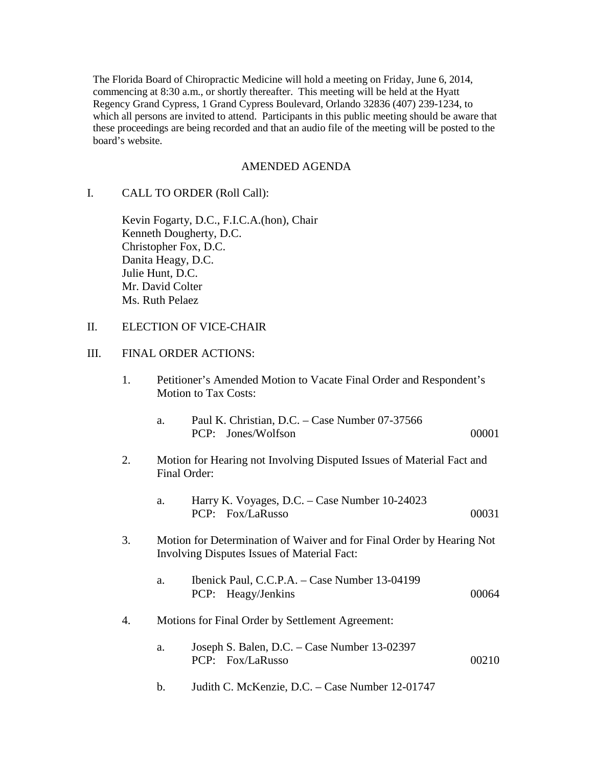The Florida Board of Chiropractic Medicine will hold a meeting on Friday, June 6, 2014, commencing at 8:30 a.m., or shortly thereafter. This meeting will be held at the Hyatt Regency Grand Cypress, 1 Grand Cypress Boulevard, Orlando 32836 (407) 239-1234, to which all persons are invited to attend. Participants in this public meeting should be aware that these proceedings are being recorded and that an audio file of the meeting will be posted to the board's website.

#### AMENDED AGENDA

I. CALL TO ORDER (Roll Call):

 Kevin Fogarty, D.C., F.I.C.A.(hon), Chair Kenneth Dougherty, D.C. Christopher Fox, D.C. Danita Heagy, D.C. Julie Hunt, D.C. Mr. David Colter Ms. Ruth Pelaez

# II. ELECTION OF VICE-CHAIR

#### III. FINAL ORDER ACTIONS:

 1. Petitioner's Amended Motion to Vacate Final Order and Respondent's Motion to Tax Costs:

| Paul K. Christian, D.C. – Case Number 07-37566 |       |
|------------------------------------------------|-------|
| PCP: Jones/Wolfson                             | 00001 |

- 2. Motion for Hearing not Involving Disputed Issues of Material Fact and Final Order:
	- a. Harry K. Voyages, D.C. Case Number 10-24023 PCP: Fox/LaRusso 00031
- 3. Motion for Determination of Waiver and for Final Order by Hearing Not Involving Disputes Issues of Material Fact:
	- a. Ibenick Paul, C.C.P.A. Case Number 13-04199 PCP: Heagy/Jenkins 00064
- 4. Motions for Final Order by Settlement Agreement:
	- a. Joseph S. Balen, D.C. Case Number 13-02397 PCP: Fox/LaRusso 00210
	- b. Judith C. McKenzie, D.C. Case Number 12-01747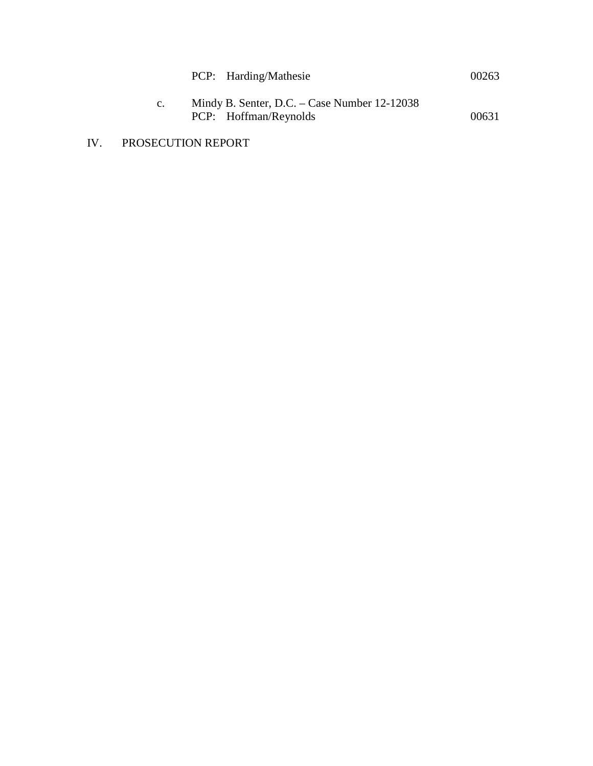|             | PCP: Harding/Mathesie                                                   | 00263 |
|-------------|-------------------------------------------------------------------------|-------|
| $c_{\cdot}$ | Mindy B. Senter, D.C. – Case Number $12-12038$<br>PCP: Hoffman/Reynolds | 00631 |

IV. PROSECUTION REPORT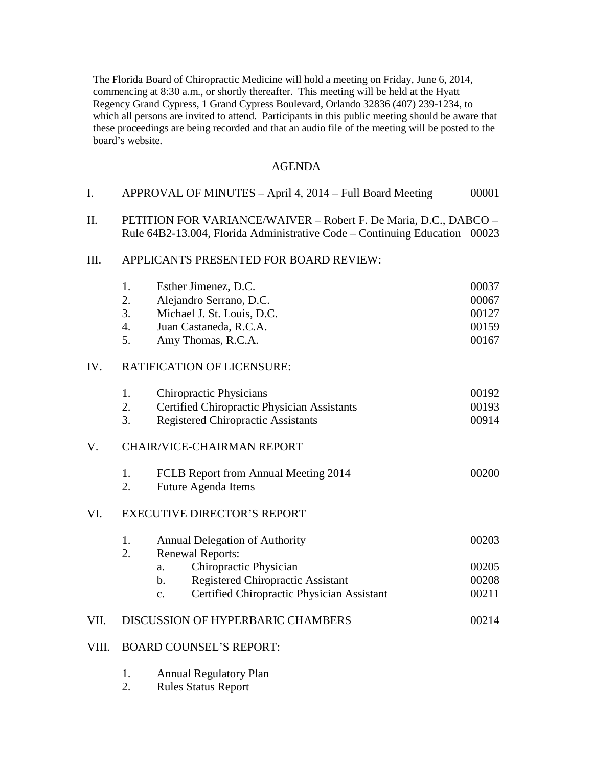The Florida Board of Chiropractic Medicine will hold a meeting on Friday, June 6, 2014, commencing at 8:30 a.m., or shortly thereafter. This meeting will be held at the Hyatt Regency Grand Cypress, 1 Grand Cypress Boulevard, Orlando 32836 (407) 239-1234, to which all persons are invited to attend. Participants in this public meeting should be aware that these proceedings are being recorded and that an audio file of the meeting will be posted to the board's website.

### AGENDA

| APPROVAL OF MINUTES – April 4, 2014 – Full Board Meeting |  | 00001 |
|----------------------------------------------------------|--|-------|
|                                                          |  |       |

II. PETITION FOR VARIANCE/WAIVER – Robert F. De Maria, D.C., DABCO – Rule 64B2-13.004, Florida Administrative Code – Continuing Education 00023

#### III. APPLICANTS PRESENTED FOR BOARD REVIEW:

|       | 1.                                 | Esther Jimenez, D.C.                                        | 00037 |
|-------|------------------------------------|-------------------------------------------------------------|-------|
|       | 2.                                 | Alejandro Serrano, D.C.                                     | 00067 |
|       | 3.                                 | Michael J. St. Louis, D.C.                                  | 00127 |
|       | 4.                                 | Juan Castaneda, R.C.A.                                      | 00159 |
|       | 5.                                 | Amy Thomas, R.C.A.                                          | 00167 |
| IV.   |                                    | <b>RATIFICATION OF LICENSURE:</b>                           |       |
|       | 1.                                 | <b>Chiropractic Physicians</b>                              | 00192 |
|       | 2.                                 | Certified Chiropractic Physician Assistants                 | 00193 |
|       | 3.                                 | <b>Registered Chiropractic Assistants</b>                   | 00914 |
| V.    |                                    | <b>CHAIR/VICE-CHAIRMAN REPORT</b>                           |       |
|       | 1.                                 | FCLB Report from Annual Meeting 2014                        | 00200 |
|       | 2.                                 | <b>Future Agenda Items</b>                                  |       |
| VI.   | <b>EXECUTIVE DIRECTOR'S REPORT</b> |                                                             |       |
|       | 1.                                 | <b>Annual Delegation of Authority</b>                       | 00203 |
|       | 2.                                 | <b>Renewal Reports:</b>                                     |       |
|       |                                    | Chiropractic Physician<br>a.                                | 00205 |
|       |                                    | <b>Registered Chiropractic Assistant</b><br>$\mathbf{b}$ .  | 00208 |
|       |                                    | Certified Chiropractic Physician Assistant<br>$C_{\bullet}$ | 00211 |
| VII.  |                                    | DISCUSSION OF HYPERBARIC CHAMBERS                           | 00214 |
| VIII. |                                    | <b>BOARD COUNSEL'S REPORT:</b>                              |       |
|       |                                    |                                                             |       |

- 1. Annual Regulatory Plan
- 2. Rules Status Report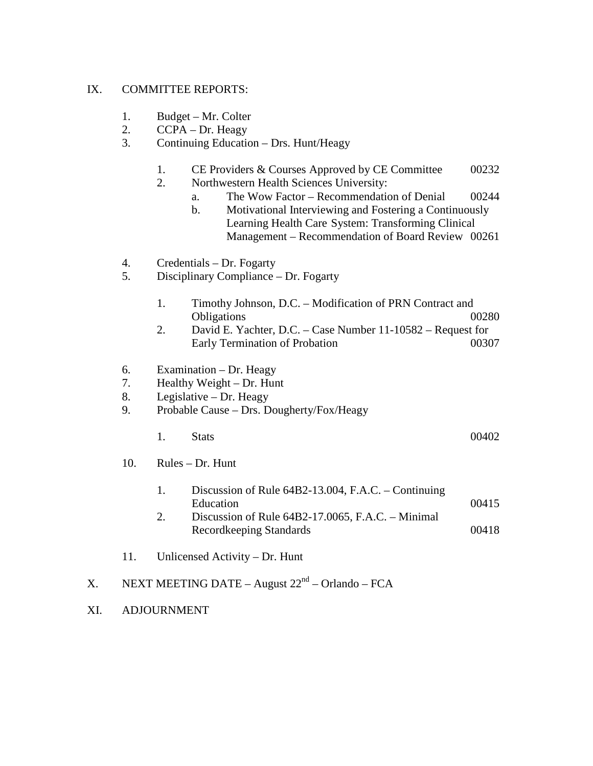# IX. COMMITTEE REPORTS:

- 1. Budget Mr. Colter
- 2. CCPA Dr. Heagy
- 3. Continuing Education Drs. Hunt/Heagy
	- 1. CE Providers & Courses Approved by CE Committee 00232
	- 2. Northwestern Health Sciences University:
		- a. The Wow Factor Recommendation of Denial 00244
		- b. Motivational Interviewing and Fostering a Continuously Learning Health Care System: Transforming Clinical Management – Recommendation of Board Review 00261
- 4. Credentials Dr. Fogarty
- 5. Disciplinary Compliance Dr. Fogarty
	- 1. Timothy Johnson, D.C. Modification of PRN Contract and Obligations 00280
	- 2. David E. Yachter, D.C. Case Number 11-10582 Request for Early Termination of Probation 00307
- 6. Examination Dr. Heagy
- 7. Healthy Weight Dr. Hunt
- 8. Legislative Dr. Heagy
- 9. Probable Cause Drs. Dougherty/Fox/Heagy
- 1. Stats 00402

- 10. Rules Dr. Hunt
- 1. Discussion of Rule 64B2-13.004, F.A.C. Continuing Education 00415
	- 2. Discussion of Rule 64B2-17.0065, F.A.C. Minimal Recordkeeping Standards 00418
	- 11. Unlicensed Activity Dr. Hunt
- X. NEXT MEETING DATE August  $22<sup>nd</sup>$  Orlando FCA
- XI. ADJOURNMENT